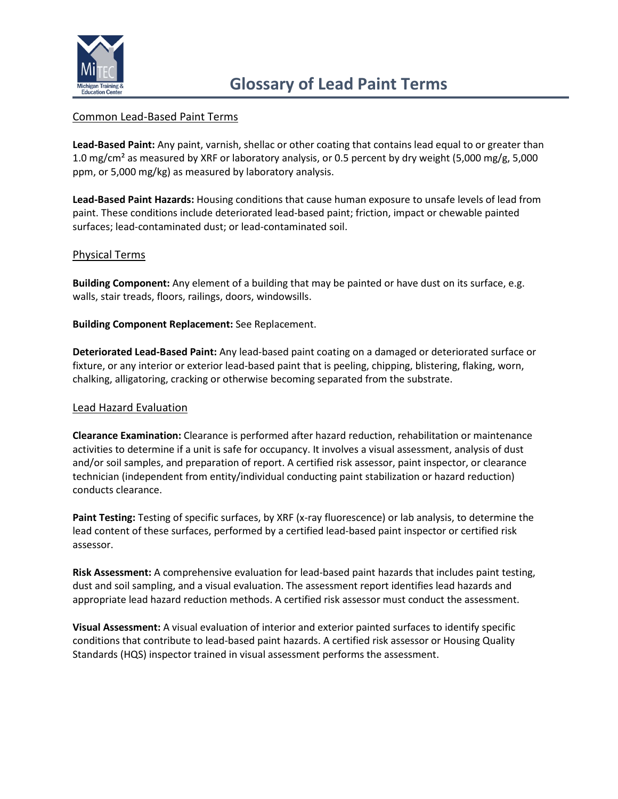

# Common Lead-Based Paint Terms

**Lead-Based Paint:** Any paint, varnish, shellac or other coating that contains lead equal to or greater than 1.0 mg/cm² as measured by XRF or laboratory analysis, or 0.5 percent by dry weight (5,000 mg/g, 5,000 ppm, or 5,000 mg/kg) as measured by laboratory analysis.

**Lead-Based Paint Hazards:** Housing conditions that cause human exposure to unsafe levels of lead from paint. These conditions include deteriorated lead-based paint; friction, impact or chewable painted surfaces; lead-contaminated dust; or lead-contaminated soil.

# Physical Terms

**Building Component:** Any element of a building that may be painted or have dust on its surface, e.g. walls, stair treads, floors, railings, doors, windowsills.

**Building Component Replacement:** See Replacement.

**Deteriorated Lead-Based Paint:** Any lead-based paint coating on a damaged or deteriorated surface or fixture, or any interior or exterior lead-based paint that is peeling, chipping, blistering, flaking, worn, chalking, alligatoring, cracking or otherwise becoming separated from the substrate.

### Lead Hazard Evaluation

**Clearance Examination:** Clearance is performed after hazard reduction, rehabilitation or maintenance activities to determine if a unit is safe for occupancy. It involves a visual assessment, analysis of dust and/or soil samples, and preparation of report. A certified risk assessor, paint inspector, or clearance technician (independent from entity/individual conducting paint stabilization or hazard reduction) conducts clearance.

**Paint Testing:** Testing of specific surfaces, by XRF (x-ray fluorescence) or lab analysis, to determine the lead content of these surfaces, performed by a certified lead-based paint inspector or certified risk assessor.

**Risk Assessment:** A comprehensive evaluation for lead-based paint hazards that includes paint testing, dust and soil sampling, and a visual evaluation. The assessment report identifies lead hazards and appropriate lead hazard reduction methods. A certified risk assessor must conduct the assessment.

**Visual Assessment:** A visual evaluation of interior and exterior painted surfaces to identify specific conditions that contribute to lead-based paint hazards. A certified risk assessor or Housing Quality Standards (HQS) inspector trained in visual assessment performs the assessment.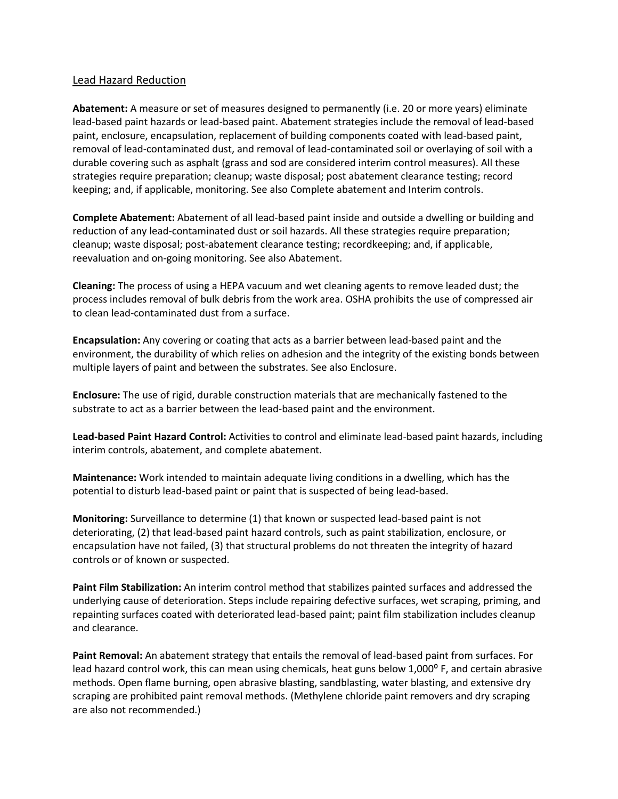## Lead Hazard Reduction

**Abatement:** A measure or set of measures designed to permanently (i.e. 20 or more years) eliminate lead-based paint hazards or lead-based paint. Abatement strategies include the removal of lead-based paint, enclosure, encapsulation, replacement of building components coated with lead-based paint, removal of lead-contaminated dust, and removal of lead-contaminated soil or overlaying of soil with a durable covering such as asphalt (grass and sod are considered interim control measures). All these strategies require preparation; cleanup; waste disposal; post abatement clearance testing; record keeping; and, if applicable, monitoring. See also Complete abatement and Interim controls.

**Complete Abatement:** Abatement of all lead-based paint inside and outside a dwelling or building and reduction of any lead-contaminated dust or soil hazards. All these strategies require preparation; cleanup; waste disposal; post-abatement clearance testing; recordkeeping; and, if applicable, reevaluation and on-going monitoring. See also Abatement.

**Cleaning:** The process of using a HEPA vacuum and wet cleaning agents to remove leaded dust; the process includes removal of bulk debris from the work area. OSHA prohibits the use of compressed air to clean lead-contaminated dust from a surface.

**Encapsulation:** Any covering or coating that acts as a barrier between lead-based paint and the environment, the durability of which relies on adhesion and the integrity of the existing bonds between multiple layers of paint and between the substrates. See also Enclosure.

**Enclosure:** The use of rigid, durable construction materials that are mechanically fastened to the substrate to act as a barrier between the lead-based paint and the environment.

**Lead-based Paint Hazard Control:** Activities to control and eliminate lead-based paint hazards, including interim controls, abatement, and complete abatement.

**Maintenance:** Work intended to maintain adequate living conditions in a dwelling, which has the potential to disturb lead-based paint or paint that is suspected of being lead-based.

**Monitoring:** Surveillance to determine (1) that known or suspected lead-based paint is not deteriorating, (2) that lead-based paint hazard controls, such as paint stabilization, enclosure, or encapsulation have not failed, (3) that structural problems do not threaten the integrity of hazard controls or of known or suspected.

**Paint Film Stabilization:** An interim control method that stabilizes painted surfaces and addressed the underlying cause of deterioration. Steps include repairing defective surfaces, wet scraping, priming, and repainting surfaces coated with deteriorated lead-based paint; paint film stabilization includes cleanup and clearance.

**Paint Removal:** An abatement strategy that entails the removal of lead-based paint from surfaces. For lead hazard control work, this can mean using chemicals, heat guns below 1,000° F, and certain abrasive methods. Open flame burning, open abrasive blasting, sandblasting, water blasting, and extensive dry scraping are prohibited paint removal methods. (Methylene chloride paint removers and dry scraping are also not recommended.)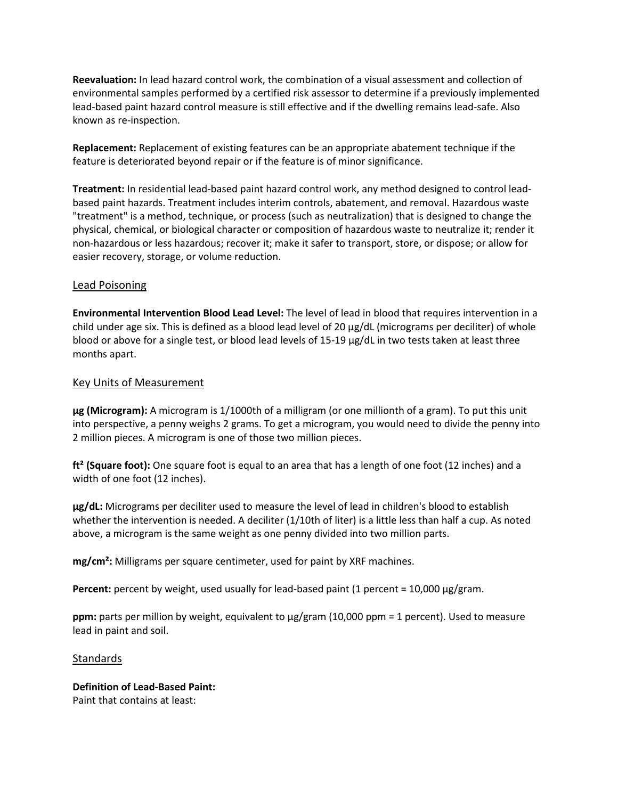**Reevaluation:** In lead hazard control work, the combination of a visual assessment and collection of environmental samples performed by a certified risk assessor to determine if a previously implemented lead-based paint hazard control measure is still effective and if the dwelling remains lead-safe. Also known as re-inspection.

**Replacement:** Replacement of existing features can be an appropriate abatement technique if the feature is deteriorated beyond repair or if the feature is of minor significance.

**Treatment:** In residential lead-based paint hazard control work, any method designed to control leadbased paint hazards. Treatment includes interim controls, abatement, and removal. Hazardous waste "treatment" is a method, technique, or process (such as neutralization) that is designed to change the physical, chemical, or biological character or composition of hazardous waste to neutralize it; render it non-hazardous or less hazardous; recover it; make it safer to transport, store, or dispose; or allow for easier recovery, storage, or volume reduction.

## Lead Poisoning

**Environmental Intervention Blood Lead Level:** The level of lead in blood that requires intervention in a child under age six. This is defined as a blood lead level of 20 µg/dL (micrograms per deciliter) of whole blood or above for a single test, or blood lead levels of 15-19 µg/dL in two tests taken at least three months apart.

### Key Units of Measurement

**μg (Microgram):** A microgram is 1/1000th of a milligram (or one millionth of a gram). To put this unit into perspective, a penny weighs 2 grams. To get a microgram, you would need to divide the penny into 2 million pieces. A microgram is one of those two million pieces.

**ft² (Square foot):** One square foot is equal to an area that has a length of one foot (12 inches) and a width of one foot (12 inches).

**μg/dL:** Micrograms per deciliter used to measure the level of lead in children's blood to establish whether the intervention is needed. A deciliter (1/10th of liter) is a little less than half a cup. As noted above, a microgram is the same weight as one penny divided into two million parts.

**mg/cm²:** Milligrams per square centimeter, used for paint by XRF machines.

**Percent:** percent by weight, used usually for lead-based paint (1 percent = 10,000 μg/gram.

**ppm:** parts per million by weight, equivalent to μg/gram (10,000 ppm = 1 percent). Used to measure lead in paint and soil.

### Standards

# **Definition of Lead-Based Paint:**

Paint that contains at least: